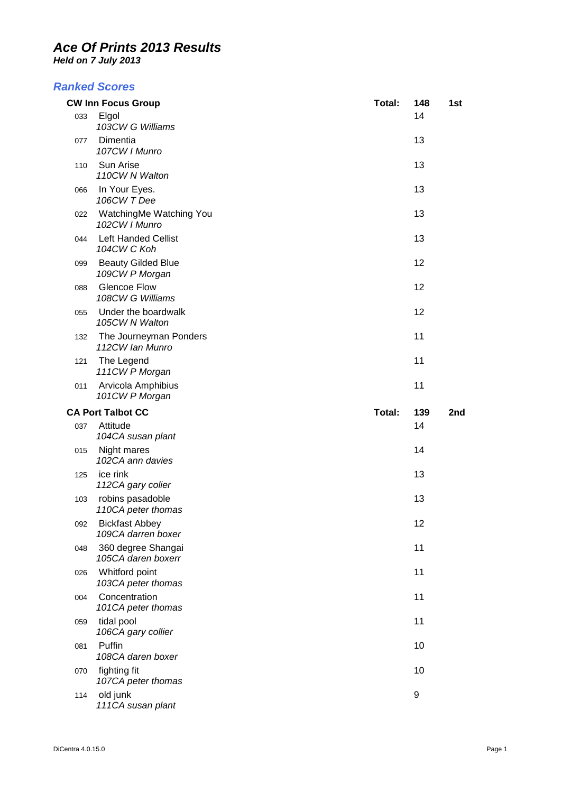*Held on 7 July 2013* 

#### *Ranked Scores*

|     | <b>CW Inn Focus Group</b>                              | Total: | 148       | 1st |
|-----|--------------------------------------------------------|--------|-----------|-----|
| 033 | Elgol<br>103CW G Williams                              |        | 14        |     |
| 077 | Dimentia<br>107CW   Munro                              |        | 13        |     |
| 110 | Sun Arise<br>110CW N Walton                            |        | 13        |     |
| 066 | In Your Eyes.<br>106CW T Dee                           |        | 13        |     |
| 022 | WatchingMe Watching You<br>102CW   Munro               |        | 13        |     |
| 044 | <b>Left Handed Cellist</b><br>104CW C Koh              |        | 13        |     |
| 099 | <b>Beauty Gilded Blue</b><br>109CW P Morgan            |        | 12        |     |
| 088 | <b>Glencoe Flow</b><br>108CW G Williams                |        | 12        |     |
| 055 | Under the boardwalk<br>105CW N Walton                  |        | 12        |     |
| 132 | The Journeyman Ponders<br>112CW Ian Munro              |        | 11        |     |
| 121 | The Legend<br>111CW P Morgan                           |        | 11        |     |
| 011 | Arvicola Amphibius<br>101CW P Morgan                   |        | 11        |     |
|     |                                                        |        |           |     |
|     |                                                        |        |           |     |
| 037 | <b>CA Port Talbot CC</b><br>Attitude                   | Total: | 139<br>14 | 2nd |
|     | 104CA susan plant                                      |        |           |     |
| 015 | Night mares<br>102CA ann davies                        |        | 14        |     |
| 125 | ice rink<br>112CA gary colier                          |        | 13        |     |
| 103 | robins pasadoble<br>110CA peter thomas                 |        | 13        |     |
| 092 | <b>Bickfast Abbey</b><br>109CA darren boxer            |        | 12        |     |
| 048 | 360 degree Shangai<br>105CA daren boxerr               |        | 11        |     |
| 026 | Whitford point<br>103CA peter thomas                   |        | 11        |     |
| 004 | Concentration                                          |        | 11        |     |
| 059 | 101CA peter thomas<br>tidal pool<br>106CA gary collier |        | 11        |     |
| 081 | Puffin<br>108CA daren boxer                            |        | 10        |     |
| 070 | fighting fit<br>107CA peter thomas                     |        | 10        |     |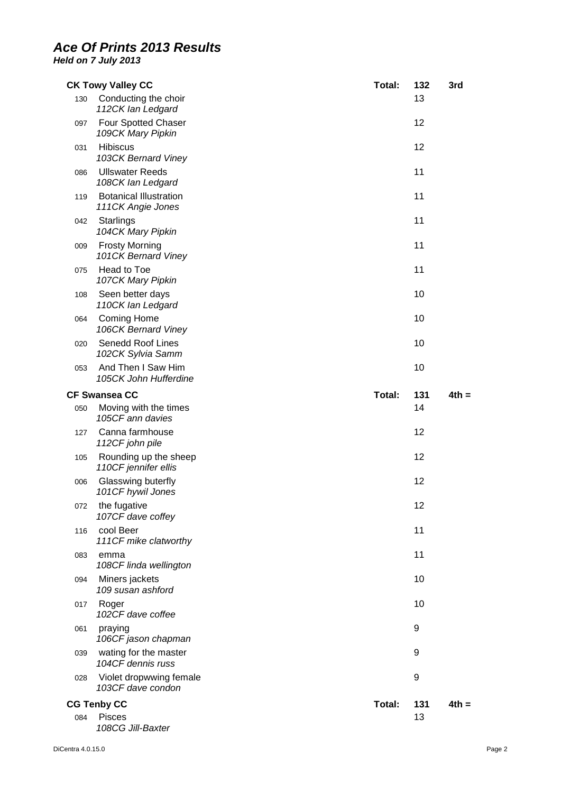|     | <b>CK Towy Valley CC</b>                           | Total: | 132 | 3rd     |
|-----|----------------------------------------------------|--------|-----|---------|
| 130 | Conducting the choir<br>112CK lan Ledgard          |        | 13  |         |
| 097 | Four Spotted Chaser<br>109CK Mary Pipkin           |        | 12  |         |
| 031 | <b>Hibiscus</b><br>103CK Bernard Viney             |        | 12  |         |
| 086 | <b>Ullswater Reeds</b><br>108CK lan Ledgard        |        | 11  |         |
| 119 | <b>Botanical Illustration</b><br>111CK Angie Jones |        | 11  |         |
| 042 | <b>Starlings</b><br>104CK Mary Pipkin              |        | 11  |         |
| 009 | <b>Frosty Morning</b><br>101CK Bernard Viney       |        | 11  |         |
| 075 | Head to Toe<br>107CK Mary Pipkin                   |        | 11  |         |
| 108 | Seen better days<br>110CK lan Ledgard              |        | 10  |         |
| 064 | <b>Coming Home</b><br>106CK Bernard Viney          |        | 10  |         |
| 020 | Senedd Roof Lines<br>102CK Sylvia Samm             |        | 10  |         |
| 053 | And Then I Saw Him<br>105CK John Hufferdine        |        | 10  |         |
|     | <b>CF Swansea CC</b>                               | Total: | 131 | $4th =$ |
| 050 | Moving with the times<br>105CF ann davies          |        | 14  |         |
| 127 | Canna farmhouse<br>112CF john pile                 |        | 12  |         |
| 105 | Rounding up the sheep<br>110CF jennifer ellis      |        | 12  |         |
| 006 | Glasswing buterfly<br>101CF hywil Jones            |        | 12  |         |
| 072 | the fugative<br>107CF dave coffey                  |        | 12  |         |
| 116 | cool Beer<br>111CF mike clatworthy                 |        | 11  |         |
| 083 | emma<br>108CF linda wellington                     |        | 11  |         |
| 094 | Miners jackets<br>109 susan ashford                |        | 10  |         |
| 017 | Roger<br>102CF dave coffee                         |        | 10  |         |
| 061 | praying<br>106CF jason chapman                     |        | 9   |         |
| 039 | wating for the master<br>104CF dennis russ         |        | 9   |         |
| 028 | Violet dropwwing female<br>103CF dave condon       |        | 9   |         |
|     | <b>CG Tenby CC</b>                                 | Total: | 131 | $4th =$ |
| 084 | <b>Pisces</b><br>108CG Jill-Baxter                 |        | 13  |         |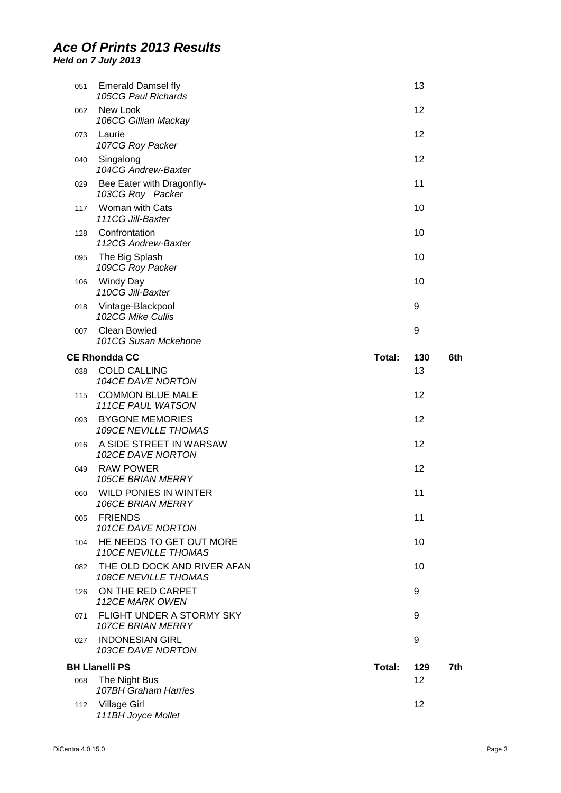| 051 | <b>Emerald Damsel fly</b><br>105CG Paul Richards           |        | 13  |     |
|-----|------------------------------------------------------------|--------|-----|-----|
| 062 | New Look<br>106CG Gillian Mackay                           |        | 12  |     |
| 073 | Laurie<br>107CG Roy Packer                                 |        | 12  |     |
| 040 | Singalong<br>104CG Andrew-Baxter                           |        | 12  |     |
| 029 | Bee Eater with Dragonfly-<br>103CG Roy Packer              |        | 11  |     |
| 117 | Woman with Cats<br>111CG Jill-Baxter                       |        | 10  |     |
| 128 | Confrontation<br>112CG Andrew-Baxter                       |        | 10  |     |
| 095 | The Big Splash<br>109CG Roy Packer                         |        | 10  |     |
| 106 | <b>Windy Day</b><br>110CG Jill-Baxter                      |        | 10  |     |
| 018 | Vintage-Blackpool<br>102CG Mike Cullis                     |        | 9   |     |
| 007 | <b>Clean Bowled</b><br>101CG Susan Mckehone                |        | 9   |     |
|     | <b>CE Rhondda CC</b>                                       | Total: | 130 | 6th |
| 038 | <b>COLD CALLING</b><br>104CE DAVE NORTON                   |        | 13  |     |
| 115 | <b>COMMON BLUE MALE</b><br>111CE PAUL WATSON               |        | 12  |     |
| 093 | <b>BYGONE MEMORIES</b><br>109CE NEVILLE THOMAS             |        | 12  |     |
| 016 | A SIDE STREET IN WARSAW<br>102CE DAVE NORTON               |        | 12  |     |
| 049 | <b>RAW POWER</b><br><b>105CE BRIAN MERRY</b>               |        | 12  |     |
| 060 | <b>WILD PONIES IN WINTER</b><br><b>106CE BRIAN MERRY</b>   |        | 11  |     |
| 005 | <b>FRIENDS</b><br>101CE DAVE NORTON                        |        | 11  |     |
| 104 | HE NEEDS TO GET OUT MORE<br><b>110CE NEVILLE THOMAS</b>    |        | 10  |     |
| 082 | THE OLD DOCK AND RIVER AFAN<br><b>108CE NEVILLE THOMAS</b> |        | 10  |     |
| 126 | ON THE RED CARPET<br>112CE MARK OWEN                       |        | 9   |     |
| 071 | FLIGHT UNDER A STORMY SKY<br><b>107CE BRIAN MERRY</b>      |        | 9   |     |
| 027 | <b>INDONESIAN GIRL</b><br>103CE DAVE NORTON                |        | 9   |     |
|     | <b>BH Llanelli PS</b>                                      | Total: | 129 | 7th |
| 068 | The Night Bus<br>107BH Graham Harries                      |        | 12  |     |
| 112 | <b>Village Girl</b><br>111BH Joyce Mollet                  |        | 12  |     |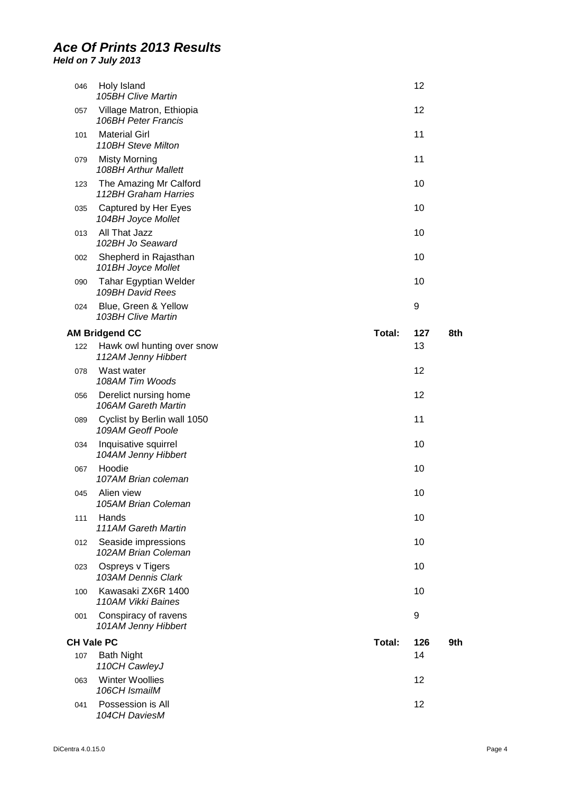| 046               | Holy Island<br>105BH Clive Martin                 |        | 12  |     |
|-------------------|---------------------------------------------------|--------|-----|-----|
| 057               | Village Matron, Ethiopia<br>106BH Peter Francis   |        | 12  |     |
| 101               | <b>Material Girl</b><br>110BH Steve Milton        |        | 11  |     |
| 079               | <b>Misty Morning</b><br>108BH Arthur Mallett      |        | 11  |     |
| 123               | The Amazing Mr Calford<br>112BH Graham Harries    |        | 10  |     |
| 035               | Captured by Her Eyes<br>104BH Joyce Mollet        |        | 10  |     |
| 013               | All That Jazz<br>102BH Jo Seaward                 |        | 10  |     |
| 002               | Shepherd in Rajasthan<br>101BH Joyce Mollet       |        | 10  |     |
| 090               | <b>Tahar Egyptian Welder</b><br>109BH David Rees  |        | 10  |     |
| 024               | Blue, Green & Yellow<br>103BH Clive Martin        |        | 9   |     |
|                   | <b>AM Bridgend CC</b>                             | Total: | 127 | 8th |
| 122               | Hawk owl hunting over snow<br>112AM Jenny Hibbert |        | 13  |     |
| 078               | Wast water<br>108AM Tim Woods                     |        | 12  |     |
| 056               | Derelict nursing home<br>106AM Gareth Martin      |        | 12  |     |
| 089               | Cyclist by Berlin wall 1050<br>109AM Geoff Poole  |        | 11  |     |
| 034               | Inquisative squirrel<br>104AM Jenny Hibbert       |        | 10  |     |
| 067               | Hoodie<br>107AM Brian coleman                     |        | 10  |     |
| 045               | Alien view<br>105AM Brian Coleman                 |        | 10  |     |
| 111               | Hands<br>111AM Gareth Martin                      |        | 10  |     |
| 012               | Seaside impressions<br>102AM Brian Coleman        |        | 10  |     |
| 023               | Ospreys v Tigers<br>103AM Dennis Clark            |        | 10  |     |
| 100               | Kawasaki ZX6R 1400<br>110AM Vikki Baines          |        | 10  |     |
| 001               | Conspiracy of ravens<br>101AM Jenny Hibbert       |        | 9   |     |
| <b>CH Vale PC</b> |                                                   | Total: | 126 | 9th |
| 107               | <b>Bath Night</b><br>110CH CawleyJ                |        | 14  |     |
| 063               | <b>Winter Woollies</b><br>106CH IsmailM           |        | 12  |     |
| 041               | Possession is All<br>104CH DaviesM                |        | 12  |     |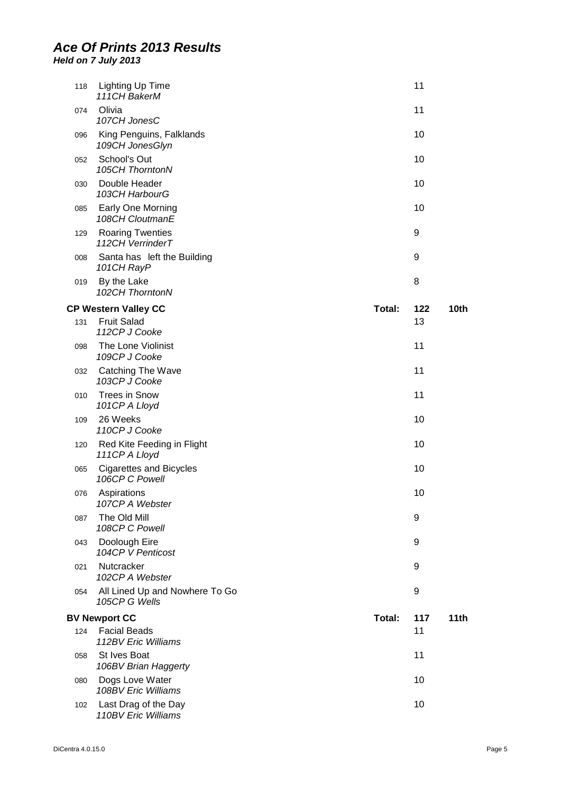| 118 | <b>Lighting Up Time</b><br>111CH BakerM          |        | 11  |      |
|-----|--------------------------------------------------|--------|-----|------|
| 074 | Olivia<br>107CH JonesC                           |        | 11  |      |
| 096 | King Penguins, Falklands<br>109CH JonesGlyn      |        | 10  |      |
| 052 | School's Out<br>105CH ThorntonN                  |        | 10  |      |
| 030 | Double Header<br>103CH HarbourG                  |        | 10  |      |
| 085 | Early One Morning<br>108CH CloutmanE             |        | 10  |      |
| 129 | <b>Roaring Twenties</b><br>112CH VerrinderT      |        | 9   |      |
| 008 | Santa has left the Building<br>101CH RayP        |        | 9   |      |
| 019 | By the Lake<br>102CH ThorntonN                   |        | 8   |      |
|     | <b>CP Western Valley CC</b>                      | Total: | 122 | 10th |
| 131 | <b>Fruit Salad</b><br>112CP J Cooke              |        | 13  |      |
| 098 | The Lone Violinist<br>109CP J Cooke              |        | 11  |      |
| 032 | Catching The Wave<br>103CP J Cooke               |        | 11  |      |
| 010 | <b>Trees in Snow</b><br>101CP A Lloyd            |        | 11  |      |
| 109 | 26 Weeks<br>110CP J Cooke                        |        | 10  |      |
| 120 | Red Kite Feeding in Flight<br>111CP A Lloyd      |        | 10  |      |
| 065 | <b>Cigarettes and Bicycles</b><br>106CP C Powell |        | 10  |      |
| 076 | Aspirations<br>107CP A Webster                   |        | 10  |      |
| 087 | The Old Mill<br>108CP C Powell                   |        | 9   |      |
| 043 | Doolough Eire<br>104CP V Penticost               |        | 9   |      |
| 021 | Nutcracker<br>102CP A Webster                    |        | 9   |      |
| 054 | All Lined Up and Nowhere To Go<br>105CP G Wells  |        | 9   |      |
|     | <b>BV Newport CC</b>                             | Total: | 117 | 11th |
| 124 | <b>Facial Beads</b><br>112BV Eric Williams       |        | 11  |      |
| 058 | St Ives Boat<br>106BV Brian Haggerty             |        | 11  |      |
| 080 | Dogs Love Water<br>108BV Eric Williams           |        | 10  |      |
| 102 | Last Drag of the Day<br>110BV Eric Williams      |        | 10  |      |